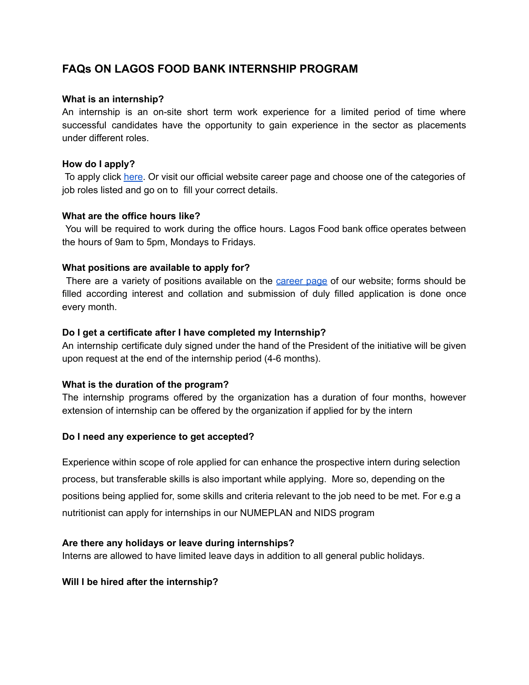# **FAQs ON LAGOS FOOD BANK INTERNSHIP PROGRAM**

## **What is an internship?**

An internship is an on-site short term work experience for a limited period of time where successful candidates have the opportunity to gain experience in the sector as placements under different roles.

## **How do I apply?**

To apply click [here](https://lagosfoodbank.org/careers/). Or visit our official website career page and choose one of the categories of job roles listed and go on to fill your correct details.

## **What are the office hours like?**

You will be required to work during the office hours. Lagos Food bank office operates between the hours of 9am to 5pm, Mondays to Fridays.

## **What positions are available to apply for?**

There are a variety of positions available on the [career](https://lagosfoodbank.org/careers/) page of our website; forms should be filled according interest and collation and submission of duly filled application is done once every month.

## **Do I get a certificate after I have completed my Internship?**

An internship certificate duly signed under the hand of the President of the initiative will be given upon request at the end of the internship period (4-6 months).

## **What is the duration of the program?**

The internship programs offered by the organization has a duration of four months, however extension of internship can be offered by the organization if applied for by the intern

#### **Do I need any experience to get accepted?**

Experience within scope of role applied for can enhance the prospective intern during selection process, but transferable skills is also important while applying. More so, depending on the positions being applied for, some skills and criteria relevant to the job need to be met. For e.g a nutritionist can apply for internships in our NUMEPLAN and NIDS program

#### **Are there any holidays or leave during internships?**

Interns are allowed to have limited leave days in addition to all general public holidays.

## **Will I be hired after the internship?**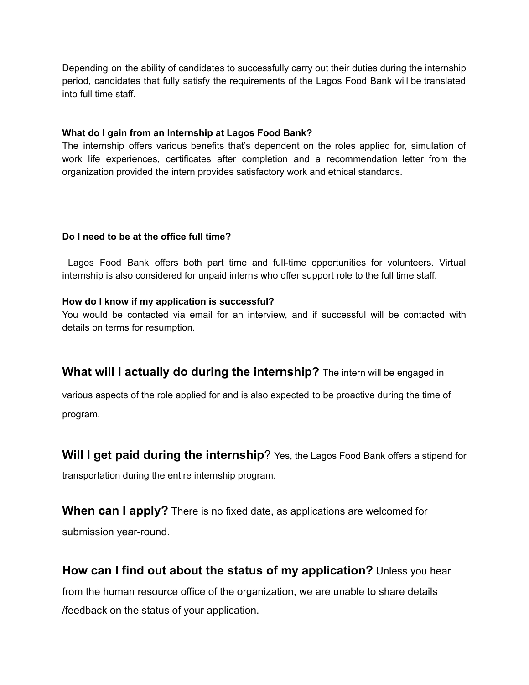Depending on the ability of candidates to successfully carry out their duties during the internship period, candidates that fully satisfy the requirements of the Lagos Food Bank will be translated into full time staff.

## **What do I gain from an Internship at Lagos Food Bank?**

The internship offers various benefits that's dependent on the roles applied for, simulation of work life experiences, certificates after completion and a recommendation letter from the organization provided the intern provides satisfactory work and ethical standards.

# **Do I need to be at the office full time?**

Lagos Food Bank offers both part time and full-time opportunities for volunteers. Virtual internship is also considered for unpaid interns who offer support role to the full time staff.

# **How do I know if my application is successful?**

You would be contacted via email for an interview, and if successful will be contacted with details on terms for resumption.

# **What will I actually do during the internship?** The intern will be engaged in

various aspects of the role applied for and is also expected to be proactive during the time of program.

**Will I get paid during the internship**? Yes, the Lagos Food Bank offers a stipend for transportation during the entire internship program.

**When can I apply?** There is no fixed date, as applications are welcomed for submission year-round.

**How can I find out about the status of my application?** Unless you hear from the human resource office of the organization, we are unable to share details /feedback on the status of your application.